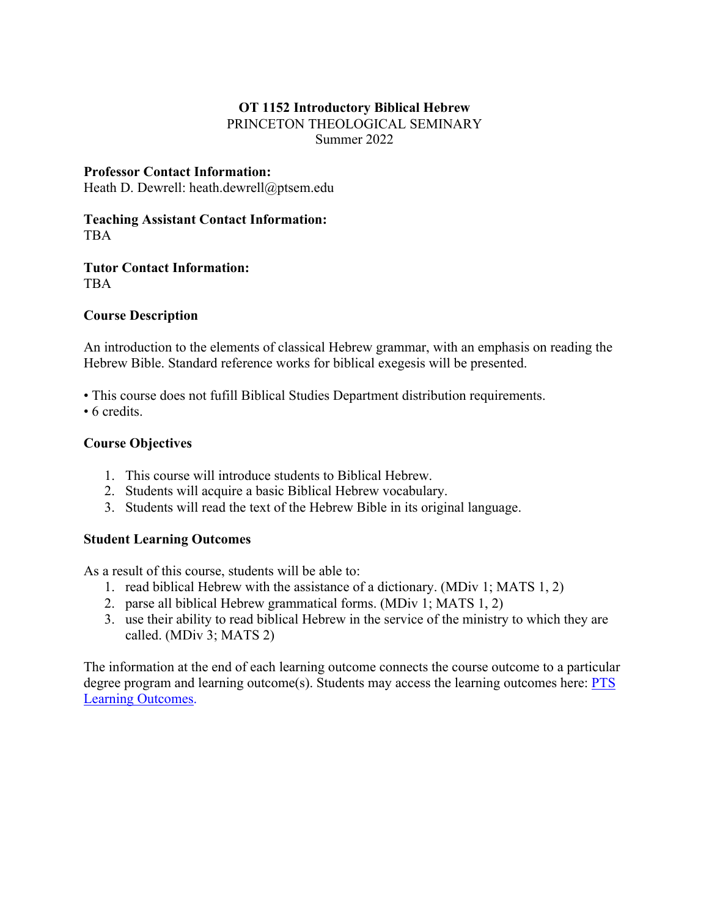# **OT 1152 Introductory Biblical Hebrew**

PRINCETON THEOLOGICAL SEMINARY Summer 2022

### **Professor Contact Information:**

Heath D. Dewrell: heath.dewrell@ptsem.edu

### **Teaching Assistant Contact Information:** TBA

**Tutor Contact Information:** TBA

# **Course Description**

An introduction to the elements of classical Hebrew grammar, with an emphasis on reading the Hebrew Bible. Standard reference works for biblical exegesis will be presented.

• This course does not fufill Biblical Studies Department distribution requirements.

• 6 credits.

# **Course Objectives**

- 1. This course will introduce students to Biblical Hebrew.
- 2. Students will acquire a basic Biblical Hebrew vocabulary.
- 3. Students will read the text of the Hebrew Bible in its original language.

# **Student Learning Outcomes**

As a result of this course, students will be able to:

- 1. read biblical Hebrew with the assistance of a dictionary. (MDiv 1; MATS 1, 2)
- 2. parse all biblical Hebrew grammatical forms. (MDiv 1; MATS 1, 2)
- 3. use their ability to read biblical Hebrew in the service of the ministry to which they are called. (MDiv 3; MATS 2)

The information at the end of each learning outcome connects the course outcome to a particular degree program and learning outcome(s). Students may access the learning outcomes here: PTS Learning Outcomes.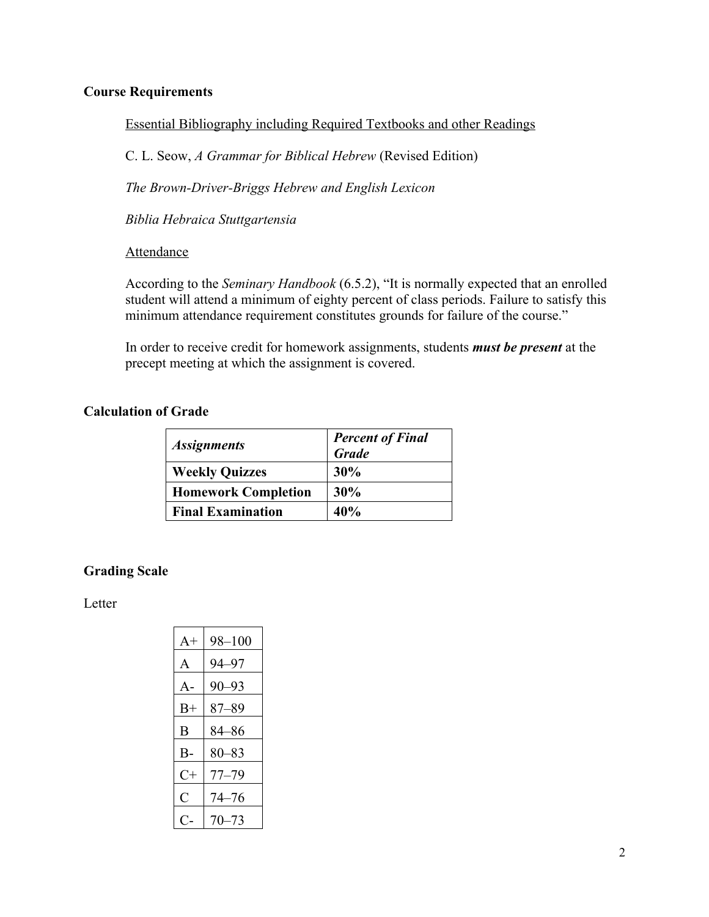### **Course Requirements**

Essential Bibliography including Required Textbooks and other Readings

C. L. Seow, *A Grammar for Biblical Hebrew* (Revised Edition)

*The Brown-Driver-Briggs Hebrew and English Lexicon*

*Biblia Hebraica Stuttgartensia*

### Attendance

According to the *Seminary Handbook* (6.5.2), "It is normally expected that an enrolled student will attend a minimum of eighty percent of class periods. Failure to satisfy this minimum attendance requirement constitutes grounds for failure of the course."

In order to receive credit for homework assignments, students *must be present* at the precept meeting at which the assignment is covered.

### **Calculation of Grade**

| <i><b>Assignments</b></i>  | <b>Percent of Final</b><br><b>Grade</b> |
|----------------------------|-----------------------------------------|
| <b>Weekly Quizzes</b>      | 30%                                     |
| <b>Homework Completion</b> | 30%                                     |
| <b>Final Examination</b>   | 40%                                     |

# **Grading Scale**

Letter

| $A+$      | 98–100    |
|-----------|-----------|
| A         | 94–97     |
| $A -$     | 90–93     |
| $B+$      | $87 - 89$ |
| B         | 84–86     |
| <b>B-</b> | $80 - 83$ |
| $C+$      | $77 - 79$ |
| C         | $74 - 76$ |
|           | $70 - 73$ |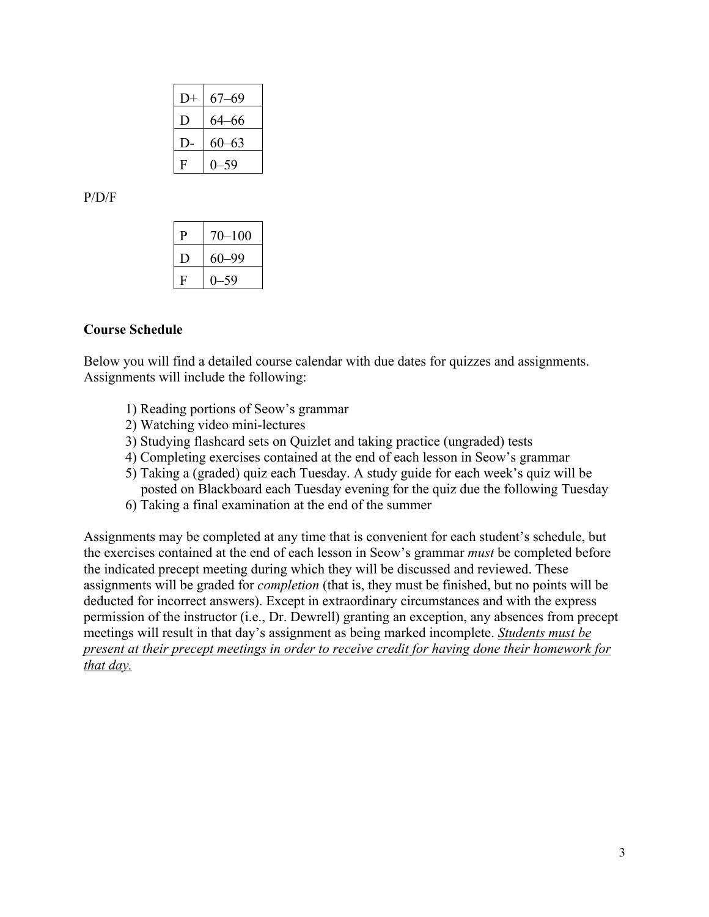| $D+$ | 67–69     |
|------|-----------|
| D    | 64–66     |
|      | $60 - 63$ |
| F    | 0–59      |

P/D/F

| р | $70 - 100$ |
|---|------------|
|   | $60 - 99$  |
| F | -59        |

#### **Course Schedule**

Below you will find a detailed course calendar with due dates for quizzes and assignments. Assignments will include the following:

- 1) Reading portions of Seow's grammar
- 2) Watching video mini-lectures
- 3) Studying flashcard sets on Quizlet and taking practice (ungraded) tests
- 4) Completing exercises contained at the end of each lesson in Seow's grammar
- 5) Taking a (graded) quiz each Tuesday. A study guide for each week's quiz will be posted on Blackboard each Tuesday evening for the quiz due the following Tuesday
- 6) Taking a final examination at the end of the summer

Assignments may be completed at any time that is convenient for each student's schedule, but the exercises contained at the end of each lesson in Seow's grammar *must* be completed before the indicated precept meeting during which they will be discussed and reviewed. These assignments will be graded for *completion* (that is, they must be finished, but no points will be deducted for incorrect answers). Except in extraordinary circumstances and with the express permission of the instructor (i.e., Dr. Dewrell) granting an exception, any absences from precept meetings will result in that day's assignment as being marked incomplete. *Students must be present at their precept meetings in order to receive credit for having done their homework for that day.*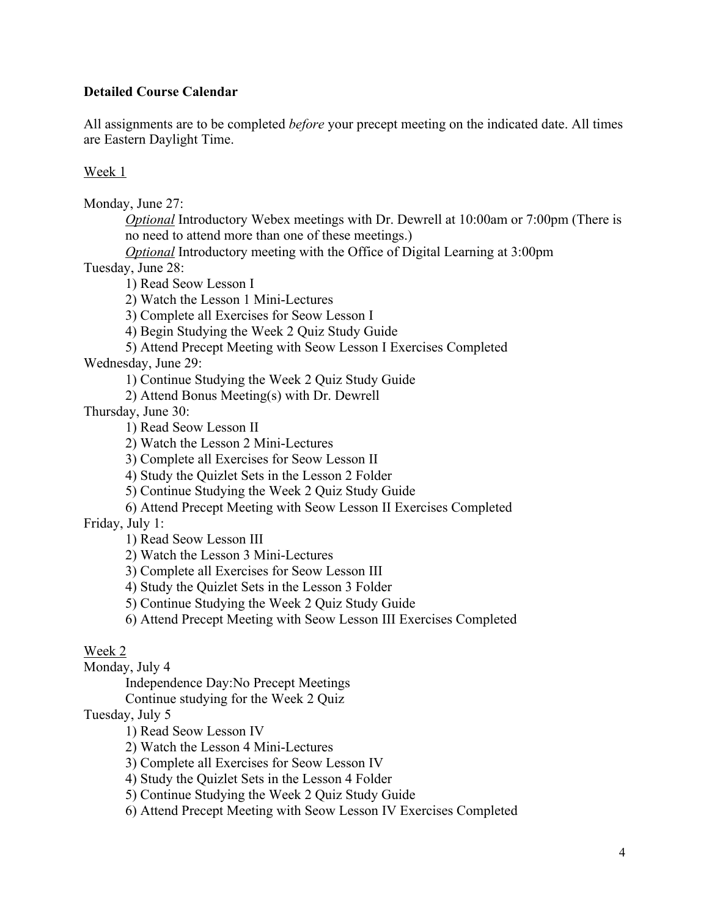# **Detailed Course Calendar**

All assignments are to be completed *before* your precept meeting on the indicated date. All times are Eastern Daylight Time.

### Week 1

Monday, June 27:

*Optional* Introductory Webex meetings with Dr. Dewrell at 10:00am or 7:00pm (There is no need to attend more than one of these meetings.)

*Optional* Introductory meeting with the Office of Digital Learning at 3:00pm

Tuesday, June 28:

1) Read Seow Lesson I

2) Watch the Lesson 1 Mini-Lectures

3) Complete all Exercises for Seow Lesson I

4) Begin Studying the Week 2 Quiz Study Guide

5) Attend Precept Meeting with Seow Lesson I Exercises Completed

Wednesday, June 29:

1) Continue Studying the Week 2 Quiz Study Guide

2) Attend Bonus Meeting(s) with Dr. Dewrell

Thursday, June 30:

1) Read Seow Lesson II

2) Watch the Lesson 2 Mini-Lectures

3) Complete all Exercises for Seow Lesson II

4) Study the Quizlet Sets in the Lesson 2 Folder

5) Continue Studying the Week 2 Quiz Study Guide

6) Attend Precept Meeting with Seow Lesson II Exercises Completed

Friday, July 1:

1) Read Seow Lesson III

2) Watch the Lesson 3 Mini-Lectures

3) Complete all Exercises for Seow Lesson III

4) Study the Quizlet Sets in the Lesson 3 Folder

5) Continue Studying the Week 2 Quiz Study Guide

6) Attend Precept Meeting with Seow Lesson III Exercises Completed

### Week 2

Monday, July 4

Independence Day:No Precept Meetings

Continue studying for the Week 2 Quiz

Tuesday, July 5

1) Read Seow Lesson IV

2) Watch the Lesson 4 Mini-Lectures

3) Complete all Exercises for Seow Lesson IV

4) Study the Quizlet Sets in the Lesson 4 Folder

5) Continue Studying the Week 2 Quiz Study Guide

6) Attend Precept Meeting with Seow Lesson IV Exercises Completed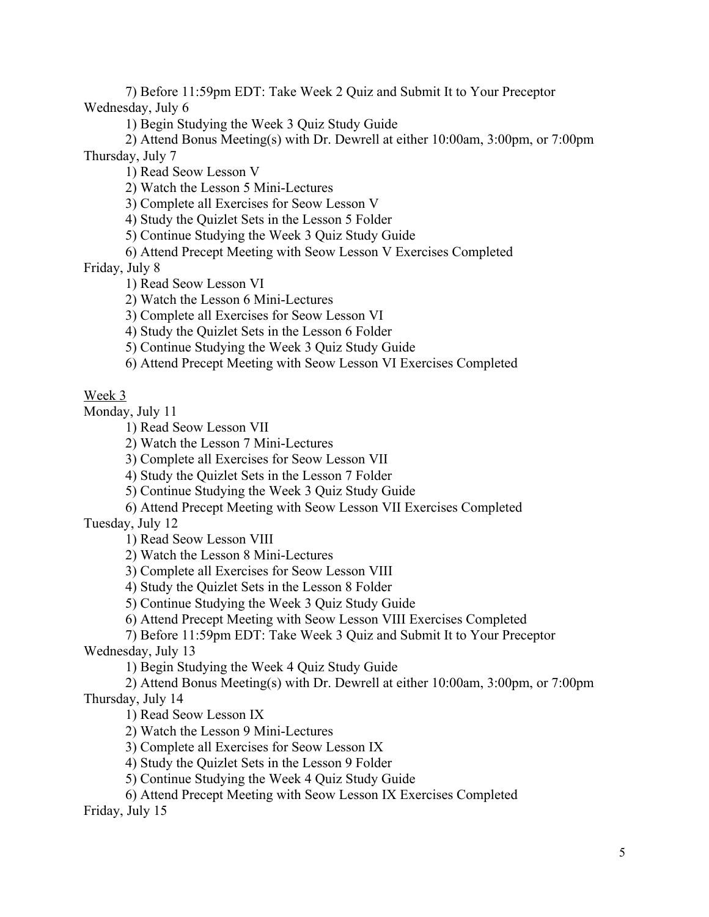7) Before 11:59pm EDT: Take Week 2 Quiz and Submit It to Your Preceptor Wednesday, July 6

1) Begin Studying the Week 3 Quiz Study Guide

2) Attend Bonus Meeting(s) with Dr. Dewrell at either 10:00am, 3:00pm, or 7:00pm Thursday, July 7

1) Read Seow Lesson V

2) Watch the Lesson 5 Mini-Lectures

3) Complete all Exercises for Seow Lesson V

4) Study the Quizlet Sets in the Lesson 5 Folder

5) Continue Studying the Week 3 Quiz Study Guide

6) Attend Precept Meeting with Seow Lesson V Exercises Completed

Friday, July 8

1) Read Seow Lesson VI

2) Watch the Lesson 6 Mini-Lectures

3) Complete all Exercises for Seow Lesson VI

4) Study the Quizlet Sets in the Lesson 6 Folder

5) Continue Studying the Week 3 Quiz Study Guide

6) Attend Precept Meeting with Seow Lesson VI Exercises Completed

Week 3

Monday, July 11

1) Read Seow Lesson VII

2) Watch the Lesson 7 Mini-Lectures

3) Complete all Exercises for Seow Lesson VII

4) Study the Quizlet Sets in the Lesson 7 Folder

5) Continue Studying the Week 3 Quiz Study Guide

6) Attend Precept Meeting with Seow Lesson VII Exercises Completed

Tuesday, July 12

1) Read Seow Lesson VIII

2) Watch the Lesson 8 Mini-Lectures

3) Complete all Exercises for Seow Lesson VIII

4) Study the Quizlet Sets in the Lesson 8 Folder

5) Continue Studying the Week 3 Quiz Study Guide

6) Attend Precept Meeting with Seow Lesson VIII Exercises Completed

7) Before 11:59pm EDT: Take Week 3 Quiz and Submit It to Your Preceptor Wednesday, July 13

1) Begin Studying the Week 4 Quiz Study Guide

2) Attend Bonus Meeting(s) with Dr. Dewrell at either 10:00am, 3:00pm, or 7:00pm Thursday, July 14

1) Read Seow Lesson IX

2) Watch the Lesson 9 Mini-Lectures

3) Complete all Exercises for Seow Lesson IX

4) Study the Quizlet Sets in the Lesson 9 Folder

5) Continue Studying the Week 4 Quiz Study Guide

6) Attend Precept Meeting with Seow Lesson IX Exercises Completed

Friday, July 15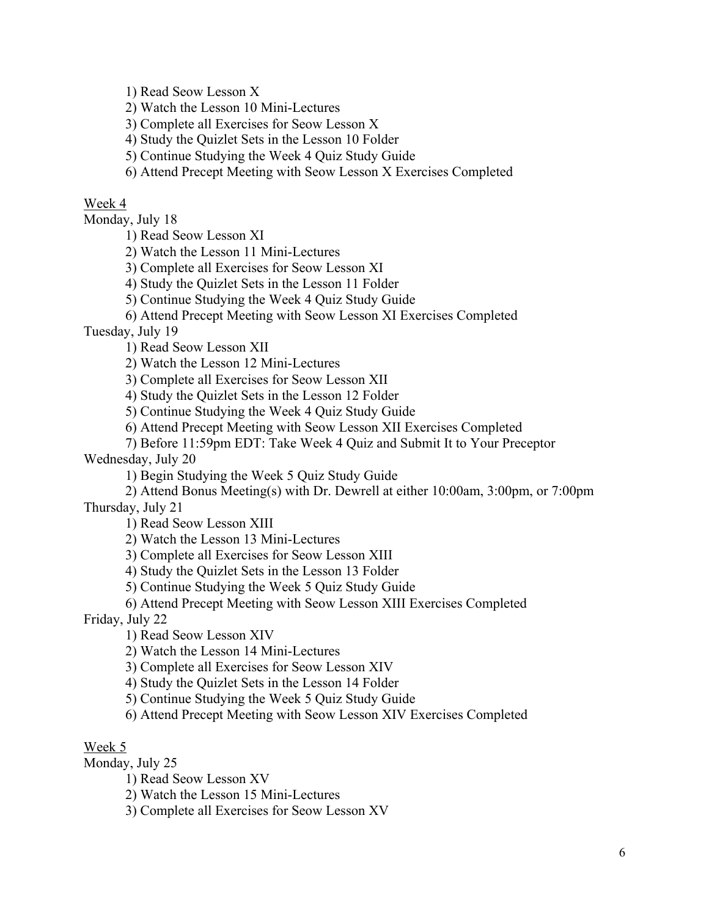1) Read Seow Lesson X

2) Watch the Lesson 10 Mini-Lectures

3) Complete all Exercises for Seow Lesson X

4) Study the Quizlet Sets in the Lesson 10 Folder

5) Continue Studying the Week 4 Quiz Study Guide

6) Attend Precept Meeting with Seow Lesson X Exercises Completed

### Week 4

Monday, July 18

1) Read Seow Lesson XI

2) Watch the Lesson 11 Mini-Lectures

3) Complete all Exercises for Seow Lesson XI

4) Study the Quizlet Sets in the Lesson 11 Folder

5) Continue Studying the Week 4 Quiz Study Guide

6) Attend Precept Meeting with Seow Lesson XI Exercises Completed

Tuesday, July 19

1) Read Seow Lesson XII

2) Watch the Lesson 12 Mini-Lectures

3) Complete all Exercises for Seow Lesson XII

4) Study the Quizlet Sets in the Lesson 12 Folder

5) Continue Studying the Week 4 Quiz Study Guide

6) Attend Precept Meeting with Seow Lesson XII Exercises Completed

7) Before 11:59pm EDT: Take Week 4 Quiz and Submit It to Your Preceptor

Wednesday, July 20

1) Begin Studying the Week 5 Quiz Study Guide

2) Attend Bonus Meeting(s) with Dr. Dewrell at either 10:00am, 3:00pm, or 7:00pm Thursday, July 21

1) Read Seow Lesson XIII

2) Watch the Lesson 13 Mini-Lectures

3) Complete all Exercises for Seow Lesson XIII

4) Study the Quizlet Sets in the Lesson 13 Folder

5) Continue Studying the Week 5 Quiz Study Guide

6) Attend Precept Meeting with Seow Lesson XIII Exercises Completed

Friday, July 22

1) Read Seow Lesson XIV

2) Watch the Lesson 14 Mini-Lectures

3) Complete all Exercises for Seow Lesson XIV

4) Study the Quizlet Sets in the Lesson 14 Folder

5) Continue Studying the Week 5 Quiz Study Guide

6) Attend Precept Meeting with Seow Lesson XIV Exercises Completed

### Week 5

Monday, July 25

1) Read Seow Lesson XV

2) Watch the Lesson 15 Mini-Lectures

3) Complete all Exercises for Seow Lesson XV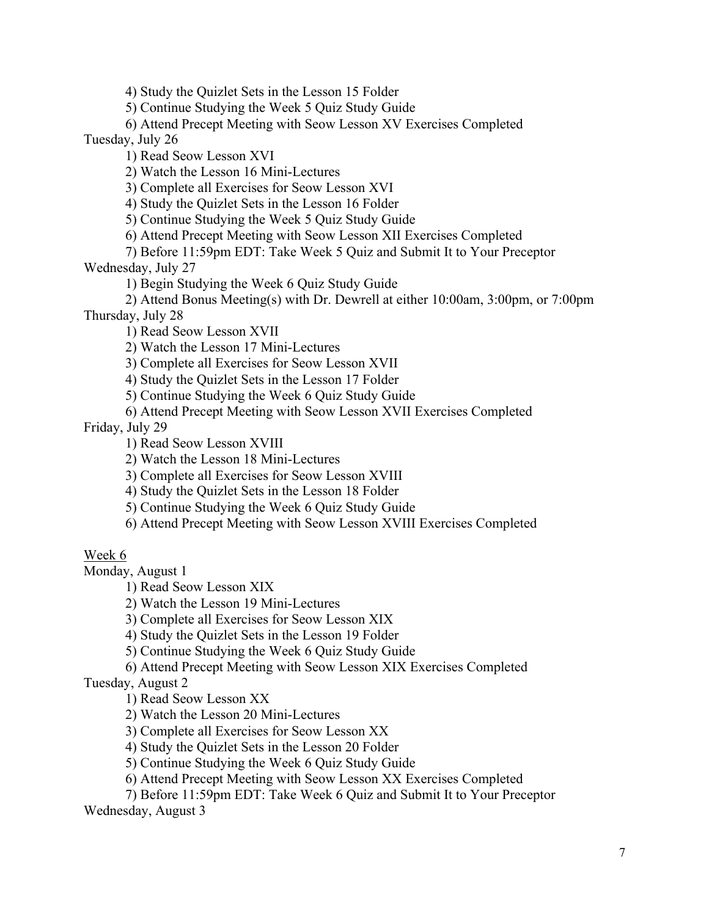4) Study the Quizlet Sets in the Lesson 15 Folder

5) Continue Studying the Week 5 Quiz Study Guide

6) Attend Precept Meeting with Seow Lesson XV Exercises Completed Tuesday, July 26

1) Read Seow Lesson XVI

2) Watch the Lesson 16 Mini-Lectures

3) Complete all Exercises for Seow Lesson XVI

4) Study the Quizlet Sets in the Lesson 16 Folder

5) Continue Studying the Week 5 Quiz Study Guide

6) Attend Precept Meeting with Seow Lesson XII Exercises Completed

7) Before 11:59pm EDT: Take Week 5 Quiz and Submit It to Your Preceptor

Wednesday, July 27

1) Begin Studying the Week 6 Quiz Study Guide

2) Attend Bonus Meeting(s) with Dr. Dewrell at either 10:00am, 3:00pm, or 7:00pm Thursday, July 28

1) Read Seow Lesson XVII

2) Watch the Lesson 17 Mini-Lectures

3) Complete all Exercises for Seow Lesson XVII

4) Study the Quizlet Sets in the Lesson 17 Folder

5) Continue Studying the Week 6 Quiz Study Guide

6) Attend Precept Meeting with Seow Lesson XVII Exercises Completed

Friday, July 29

1) Read Seow Lesson XVIII

2) Watch the Lesson 18 Mini-Lectures

3) Complete all Exercises for Seow Lesson XVIII

4) Study the Quizlet Sets in the Lesson 18 Folder

5) Continue Studying the Week 6 Quiz Study Guide

6) Attend Precept Meeting with Seow Lesson XVIII Exercises Completed

# Week 6

Monday, August 1

1) Read Seow Lesson XIX

2) Watch the Lesson 19 Mini-Lectures

3) Complete all Exercises for Seow Lesson XIX

4) Study the Quizlet Sets in the Lesson 19 Folder

5) Continue Studying the Week 6 Quiz Study Guide

6) Attend Precept Meeting with Seow Lesson XIX Exercises Completed

Tuesday, August 2

1) Read Seow Lesson XX

2) Watch the Lesson 20 Mini-Lectures

3) Complete all Exercises for Seow Lesson XX

4) Study the Quizlet Sets in the Lesson 20 Folder

5) Continue Studying the Week 6 Quiz Study Guide

6) Attend Precept Meeting with Seow Lesson XX Exercises Completed

7) Before 11:59pm EDT: Take Week 6 Quiz and Submit It to Your Preceptor Wednesday, August 3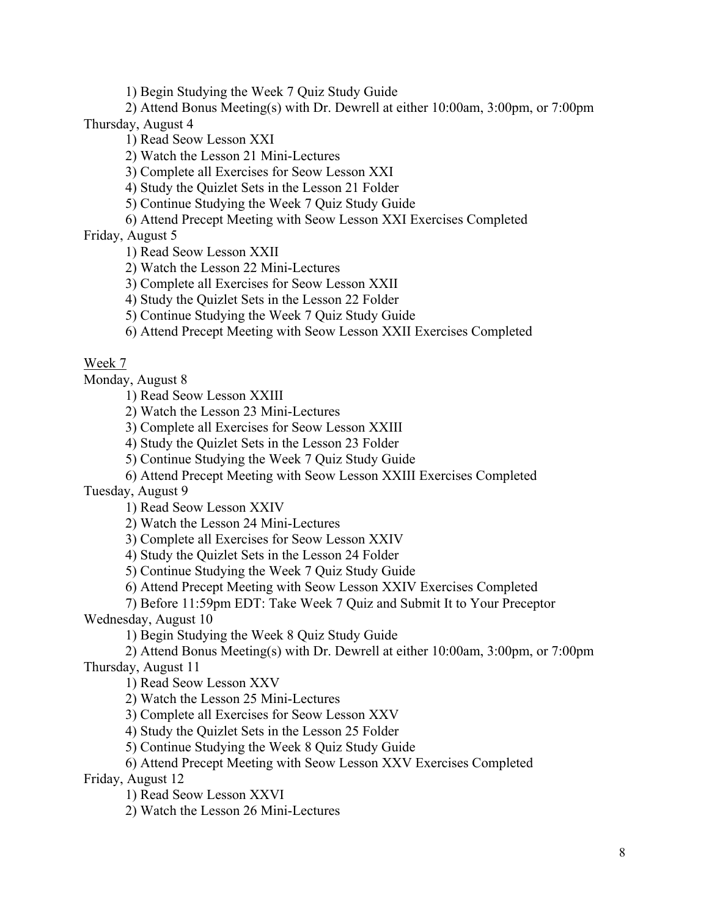1) Begin Studying the Week 7 Quiz Study Guide

2) Attend Bonus Meeting(s) with Dr. Dewrell at either 10:00am, 3:00pm, or 7:00pm Thursday, August 4

1) Read Seow Lesson XXI

2) Watch the Lesson 21 Mini-Lectures

3) Complete all Exercises for Seow Lesson XXI

4) Study the Quizlet Sets in the Lesson 21 Folder

5) Continue Studying the Week 7 Quiz Study Guide

6) Attend Precept Meeting with Seow Lesson XXI Exercises Completed

Friday, August 5

1) Read Seow Lesson XXII

2) Watch the Lesson 22 Mini-Lectures

3) Complete all Exercises for Seow Lesson XXII

4) Study the Quizlet Sets in the Lesson 22 Folder

5) Continue Studying the Week 7 Quiz Study Guide

6) Attend Precept Meeting with Seow Lesson XXII Exercises Completed

# Week 7

Monday, August 8

1) Read Seow Lesson XXIII

2) Watch the Lesson 23 Mini-Lectures

3) Complete all Exercises for Seow Lesson XXIII

4) Study the Quizlet Sets in the Lesson 23 Folder

5) Continue Studying the Week 7 Quiz Study Guide

6) Attend Precept Meeting with Seow Lesson XXIII Exercises Completed

Tuesday, August 9

1) Read Seow Lesson XXIV

2) Watch the Lesson 24 Mini-Lectures

3) Complete all Exercises for Seow Lesson XXIV

4) Study the Quizlet Sets in the Lesson 24 Folder

5) Continue Studying the Week 7 Quiz Study Guide

6) Attend Precept Meeting with Seow Lesson XXIV Exercises Completed

7) Before 11:59pm EDT: Take Week 7 Quiz and Submit It to Your Preceptor

Wednesday, August 10

1) Begin Studying the Week 8 Quiz Study Guide

2) Attend Bonus Meeting(s) with Dr. Dewrell at either 10:00am, 3:00pm, or 7:00pm Thursday, August 11

1) Read Seow Lesson XXV

2) Watch the Lesson 25 Mini-Lectures

3) Complete all Exercises for Seow Lesson XXV

4) Study the Quizlet Sets in the Lesson 25 Folder

5) Continue Studying the Week 8 Quiz Study Guide

6) Attend Precept Meeting with Seow Lesson XXV Exercises Completed

Friday, August 12

1) Read Seow Lesson XXVI

2) Watch the Lesson 26 Mini-Lectures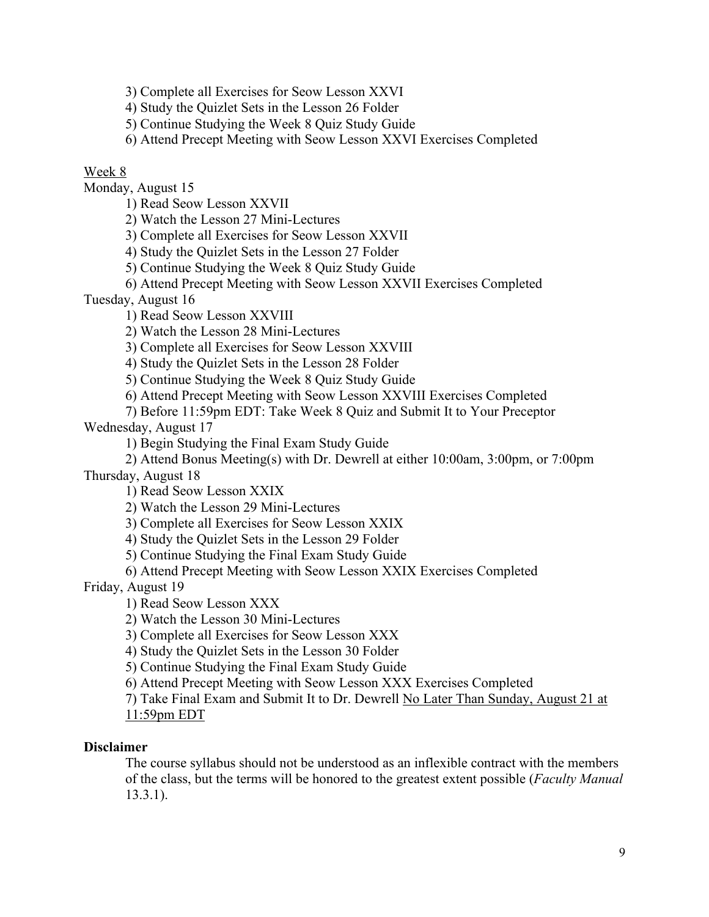3) Complete all Exercises for Seow Lesson XXVI

4) Study the Quizlet Sets in the Lesson 26 Folder

5) Continue Studying the Week 8 Quiz Study Guide

6) Attend Precept Meeting with Seow Lesson XXVI Exercises Completed

# Week 8

Monday, August 15

1) Read Seow Lesson XXVII

2) Watch the Lesson 27 Mini-Lectures

3) Complete all Exercises for Seow Lesson XXVII

4) Study the Quizlet Sets in the Lesson 27 Folder

5) Continue Studying the Week 8 Quiz Study Guide

6) Attend Precept Meeting with Seow Lesson XXVII Exercises Completed

Tuesday, August 16

1) Read Seow Lesson XXVIII

2) Watch the Lesson 28 Mini-Lectures

3) Complete all Exercises for Seow Lesson XXVIII

4) Study the Quizlet Sets in the Lesson 28 Folder

5) Continue Studying the Week 8 Quiz Study Guide

6) Attend Precept Meeting with Seow Lesson XXVIII Exercises Completed

7) Before 11:59pm EDT: Take Week 8 Quiz and Submit It to Your Preceptor

Wednesday, August 17

1) Begin Studying the Final Exam Study Guide

2) Attend Bonus Meeting(s) with Dr. Dewrell at either 10:00am, 3:00pm, or 7:00pm Thursday, August 18

1) Read Seow Lesson XXIX

2) Watch the Lesson 29 Mini-Lectures

3) Complete all Exercises for Seow Lesson XXIX

4) Study the Quizlet Sets in the Lesson 29 Folder

5) Continue Studying the Final Exam Study Guide

6) Attend Precept Meeting with Seow Lesson XXIX Exercises Completed

Friday, August 19

1) Read Seow Lesson XXX

2) Watch the Lesson 30 Mini-Lectures

3) Complete all Exercises for Seow Lesson XXX

4) Study the Quizlet Sets in the Lesson 30 Folder

5) Continue Studying the Final Exam Study Guide

6) Attend Precept Meeting with Seow Lesson XXX Exercises Completed

7) Take Final Exam and Submit It to Dr. Dewrell No Later Than Sunday, August 21 at 11:59pm EDT

# **Disclaimer**

The course syllabus should not be understood as an inflexible contract with the members of the class, but the terms will be honored to the greatest extent possible (*Faculty Manual* 13.3.1).